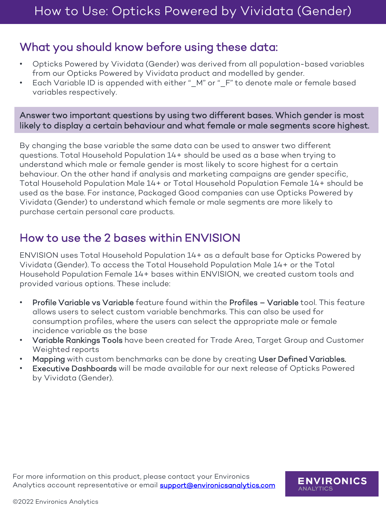## What you should know before using these data:

- Opticks Powered by Vividata (Gender) was derived from all population-based variables from our Opticks Powered by Vividata product and modelled by gender.
- Each Variable ID is appended with either "\_M" or "\_F" to denote male or female based variables respectively.

## Answer two important questions by using two different bases. Which gender is most likely to display a certain behaviour and what female or male segments score highest.

By changing the base variable the same data can be used to answer two different questions. Total Household Population 14+ should be used as a base when trying to understand which male or female gender is most likely to score highest for a certain behaviour. On the other hand if analysis and marketing campaigns are gender specific, Total Household Population Male 14+ or Total Household Population Female 14+ should be used as the base. For instance, Packaged Good companies can use Opticks Powered by Vividata (Gender) to understand which female or male segments are more likely to purchase certain personal care products.

## How to use the 2 bases within ENVISION

ENVISION uses Total Household Population 14+ as a default base for Opticks Powered by Vividata (Gender). To access the Total Household Population Male 14+ or the Total Household Population Female 14+ bases within ENVISION, we created custom tools and provided various options. These include:

- Profile Variable vs Variable feature found within the Profiles Variable tool. This feature allows users to select custom variable benchmarks. This can also be used for consumption profiles, where the users can select the appropriate male or female incidence variable as the base
- Variable Rankings Tools have been created for Trade Area, Target Group and Customer Weighted reports
- Mapping with custom benchmarks can be done by creating User Defined Variables.
- Executive Dashboards will be made available for our next release of Opticks Powered by Vividata (Gender).

**ENVIRONICS** 

**ANALYTICS** 

For more information on this product, please contact your Environics Analytics account representative or email **support@environicsanalytics.com**